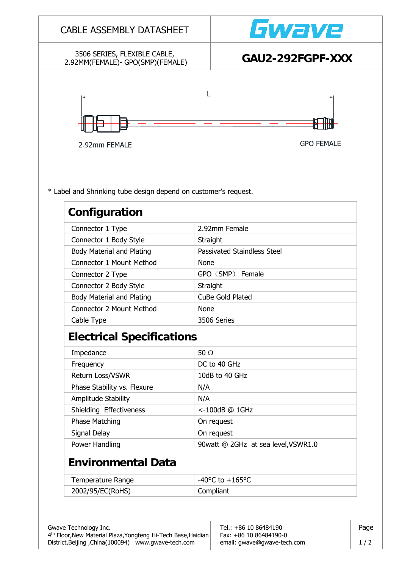| 3506 SERIES, FLEXIBLE CABLE,<br>2.92MM(FEMALE)- GPO(SMP)(FEMALE)                 |                  | GAU2-292FGPF-XXX                   |  |  |
|----------------------------------------------------------------------------------|------------------|------------------------------------|--|--|
|                                                                                  |                  |                                    |  |  |
|                                                                                  |                  |                                    |  |  |
| 2.92mm FEMALE                                                                    |                  | <b>GPO FEMALE</b>                  |  |  |
| * Label and Shrinking tube design depend on customer's request.<br>Configuration |                  |                                    |  |  |
| Connector 1 Type                                                                 | 2.92mm Female    |                                    |  |  |
| Connector 1 Body Style                                                           | Straight         |                                    |  |  |
| <b>Body Material and Plating</b>                                                 |                  | <b>Passivated Staindless Steel</b> |  |  |
| Connector 1 Mount Method                                                         | None             |                                    |  |  |
| Connector 2 Type                                                                 |                  | GPO (SMP) Female                   |  |  |
| Connector 2 Body Style                                                           | Straight         |                                    |  |  |
| <b>Body Material and Plating</b>                                                 | CuBe Gold Plated |                                    |  |  |
| Connector 2 Mount Method                                                         | None             |                                    |  |  |
| Cable Type                                                                       | 3506 Series      |                                    |  |  |
| <b>Electrical Specifications</b>                                                 |                  |                                    |  |  |
| Impedance                                                                        | 50 $\Omega$      |                                    |  |  |
| Frequency                                                                        |                  | DC to 40 GHz                       |  |  |
| Return Loss/VSWR                                                                 |                  | 10dB to 40 GHz                     |  |  |
| Phase Stability vs. Flexure                                                      | N/A              |                                    |  |  |
| Amplitude Stability                                                              | N/A              |                                    |  |  |
| Shielding Effectiveness                                                          |                  | <-100dB @ 1GHz                     |  |  |
| Phase Matching<br>On request<br>Signal Delay<br>On request                       |                  |                                    |  |  |
|                                                                                  |                  |                                    |  |  |
| Power Handling<br>90watt @ 2GHz at sea level, VSWR1.0                            |                  |                                    |  |  |
| <b>Environmental Data</b>                                                        |                  |                                    |  |  |
| $-40^{\circ}$ C to $+165^{\circ}$ C<br>Temperature Range                         |                  |                                    |  |  |
|                                                                                  | Compliant        |                                    |  |  |
| 2002/95/EC(RoHS)                                                                 |                  |                                    |  |  |